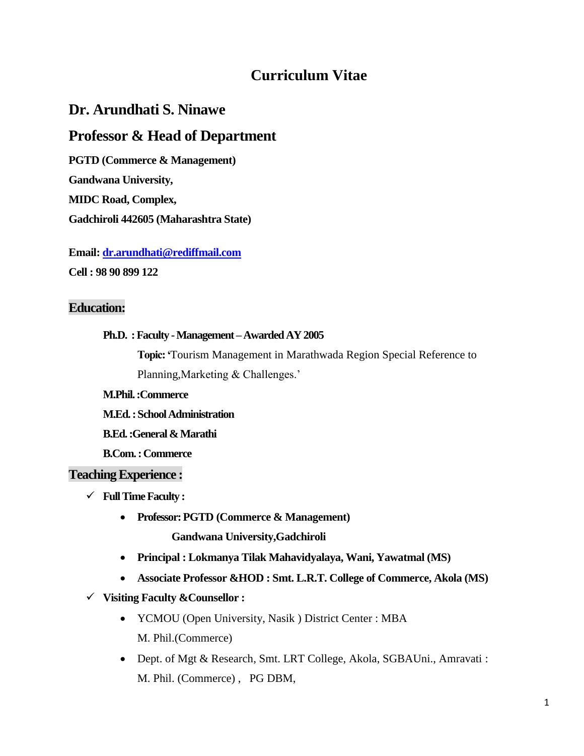# **Curriculum Vitae**

# **Dr. Arundhati S. Ninawe**

# **Professor & Head of Department**

**PGTD (Commerce & Management)**

**Gandwana University,**

**MIDC Road, Complex,** 

**Gadchiroli 442605 (Maharashtra State)**

**Email[: dr.arundhati@rediffmail.com](mailto:dr.arundhati@rediffmail.com) Cell : 98 90 899 122**

# **Education:**

### **Ph.D. :Faculty -Management –Awarded AY 2005**

**Topic: '**Tourism Management in Marathwada Region Special Reference to Planning,Marketing & Challenges.'

**M.Phil. :Commerce** 

**M.Ed. :School Administration**

**B.Ed. :General & Marathi** 

**B.Com. : Commerce**

## **Teaching Experience :**

- **Full Time Faculty :**
	- **Professor: PGTD (Commerce & Management) Gandwana University,Gadchiroli**
	- **Principal : Lokmanya Tilak Mahavidyalaya, Wani, Yawatmal (MS)**
	- **Associate Professor &HOD : Smt. L.R.T. College of Commerce, Akola (MS)**
- **Visiting Faculty &Counsellor :**
	- YCMOU (Open University, Nasik ) District Center : MBA M. Phil.(Commerce)
	- Dept. of Mgt & Research, Smt. LRT College, Akola, SGBAUni., Amravati : M. Phil. (Commerce) , PG DBM,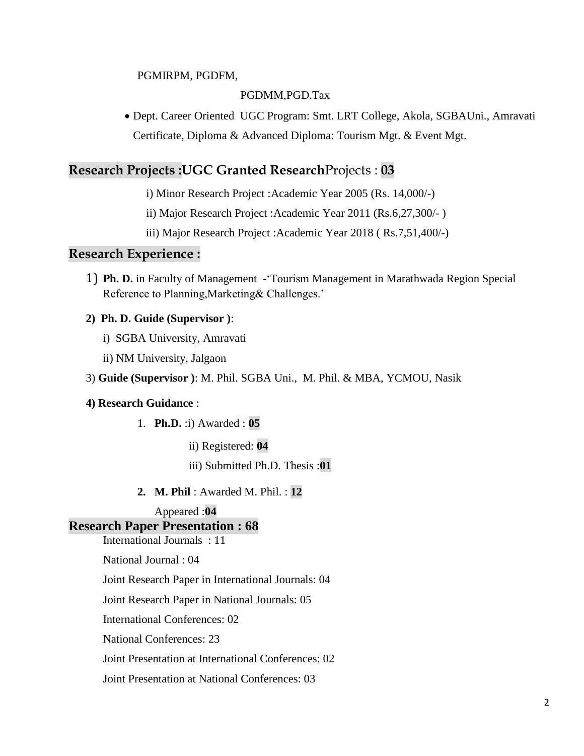#### PGMIRPM, PGDFM,

#### PGDMM,PGD.Tax

 Dept. Career Oriented UGC Program: Smt. LRT College, Akola, SGBAUni., Amravati Certificate, Diploma & Advanced Diploma: Tourism Mgt. & Event Mgt.

# **Research Projects :UGC Granted Research**Projects : **03**

i) Minor Research Project :Academic Year 2005 (Rs. 14,000/-)

ii) Major Research Project :Academic Year 2011 (Rs.6,27,300/- )

iii) Major Research Project :Academic Year 2018 ( Rs.7,51,400/-)

#### **Research Experience :**

1) **Ph. D.** in Faculty of Management -'Tourism Management in Marathwada Region Special Reference to Planning,Marketing& Challenges.'

#### **2) Ph. D. Guide (Supervisor )**:

- i) SGBA University, Amravati
- ii) NM University, Jalgaon
- 3) **Guide (Supervisor )**: M. Phil. SGBA Uni., M. Phil. & MBA, YCMOU, Nasik

#### **4) Research Guidance** :

- 1. **Ph.D.** :i) Awarded : **05**
	- ii) Registered: **04**

iii) Submitted Ph.D. Thesis :**01**

**2. M. Phil** : Awarded M. Phil. : **12**

Appeared :**04**

#### **Research Paper Presentation : 68**

International Journals : 11

National Journal : 04

Joint Research Paper in International Journals: 04

Joint Research Paper in National Journals: 05

International Conferences: 02

National Conferences: 23

Joint Presentation at International Conferences: 02

Joint Presentation at National Conferences: 03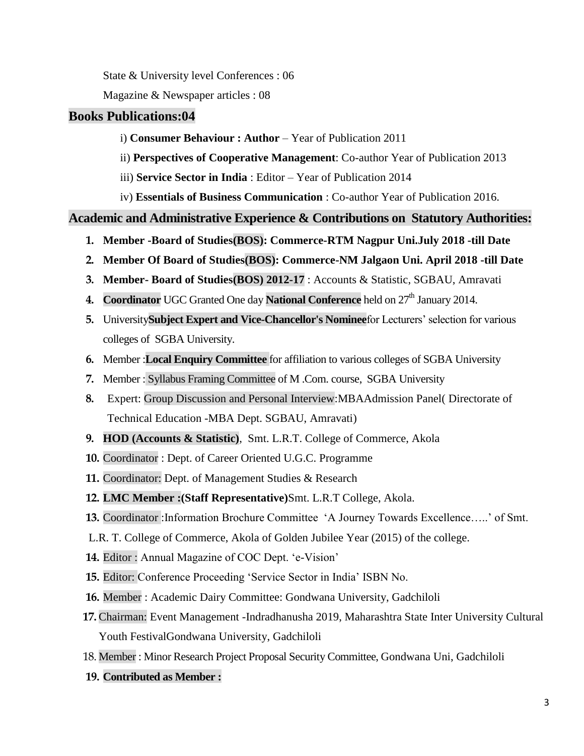State & University level Conferences : 06

Magazine & Newspaper articles : 08

# **Books Publications:04**

- i) **Consumer Behaviour : Author** Year of Publication 2011
- ii) **Perspectives of Cooperative Management**: Co-author Year of Publication 2013
- iii) **Service Sector in India** : Editor Year of Publication 2014
- iv) **Essentials of Business Communication** : Co-author Year of Publication 2016.

## **Academic and Administrative Experience & Contributions on Statutory Authorities:**

- **1. Member -Board of Studies(BOS): Commerce-RTM Nagpur Uni.July 2018 -till Date**
- **2. Member Of Board of Studies(BOS): Commerce-NM Jalgaon Uni. April 2018 -till Date**
- **3. Member- Board of Studies(BOS) 2012-17** : Accounts & Statistic, SGBAU, Amravati
- **4. Coordinator** UGC Granted One day **National Conference** held on  $27<sup>th</sup>$  January 2014.
- **5.** University**Subject Expert and Vice-Chancellor's Nominee**for Lecturers' selection for various colleges of SGBA University.
- **6.** Member :**Local Enquiry Committee** for affiliation to various colleges of SGBA University
- **7.** Member : Syllabus Framing Committee of M .Com. course, SGBA University
- **8.** Expert: Group Discussion and Personal Interview:MBAAdmission Panel( Directorate of Technical Education -MBA Dept. SGBAU, Amravati)
- **9. HOD (Accounts & Statistic)**, Smt. L.R.T. College of Commerce, Akola
- **10.** Coordinator : Dept. of Career Oriented U.G.C. Programme
- **11.** Coordinator: Dept. of Management Studies & Research
- **12. LMC Member :(Staff Representative)**Smt. L.R.T College, Akola.
- **13.** Coordinator :Information Brochure Committee 'A Journey Towards Excellence…..' of Smt.
- L.R. T. College of Commerce, Akola of Golden Jubilee Year (2015) of the college.
- **14.** Editor : Annual Magazine of COC Dept. 'e-Vision'
- **15.** Editor: Conference Proceeding 'Service Sector in India' ISBN No.
- **16.** Member : Academic Dairy Committee: Gondwana University, Gadchiloli
- **17.** Chairman: Event Management -Indradhanusha 2019, Maharashtra State Inter University Cultural Youth FestivalGondwana University, Gadchiloli
- 18. Member : Minor Research Project Proposal Security Committee, Gondwana Uni, Gadchiloli
- **19. Contributed as Member :**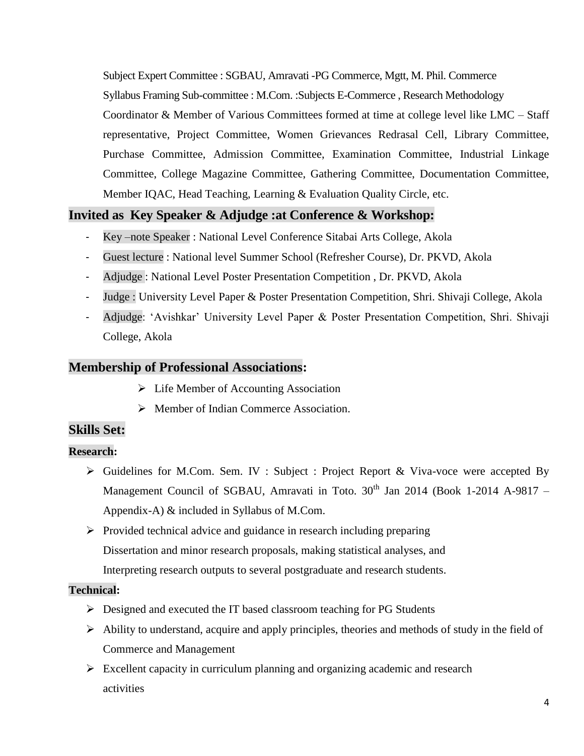Subject Expert Committee : SGBAU, Amravati -PG Commerce, Mgtt, M. Phil. Commerce Syllabus Framing Sub-committee : M.Com. :Subjects E-Commerce , Research Methodology Coordinator & Member of Various Committees formed at time at college level like LMC – Staff representative, Project Committee, Women Grievances Redrasal Cell, Library Committee, Purchase Committee, Admission Committee, Examination Committee, Industrial Linkage Committee, College Magazine Committee, Gathering Committee, Documentation Committee, Member IQAC, Head Teaching, Learning & Evaluation Quality Circle, etc.

## **Invited as Key Speaker & Adjudge :at Conference & Workshop:**

- Key –note Speaker : National Level Conference Sitabai Arts College, Akola
- Guest lecture : National level Summer School (Refresher Course), Dr. PKVD, Akola
- Adjudge : National Level Poster Presentation Competition , Dr. PKVD, Akola
- Judge : University Level Paper & Poster Presentation Competition, Shri. Shivaji College, Akola
- Adjudge: 'Avishkar' University Level Paper & Poster Presentation Competition, Shri. Shivaji College, Akola

#### **Membership of Professional Associations:**

- $\triangleright$  Life Member of Accounting Association
- Member of Indian Commerce Association.

## **Skills Set:**

#### **Research:**

- $\triangleright$  Guidelines for M.Com. Sem. IV : Subject : Project Report & Viva-voce were accepted By Management Council of SGBAU, Amravati in Toto.  $30<sup>th</sup>$  Jan 2014 (Book 1-2014 A-9817 – Appendix-A) & included in Syllabus of M.Com.
- $\triangleright$  Provided technical advice and guidance in research including preparing Dissertation and minor research proposals, making statistical analyses, and Interpreting research outputs to several postgraduate and research students.

#### **Technical:**

- $\triangleright$  Designed and executed the IT based classroom teaching for PG Students
- $\triangleright$  Ability to understand, acquire and apply principles, theories and methods of study in the field of Commerce and Management
- $\triangleright$  Excellent capacity in curriculum planning and organizing academic and research activities